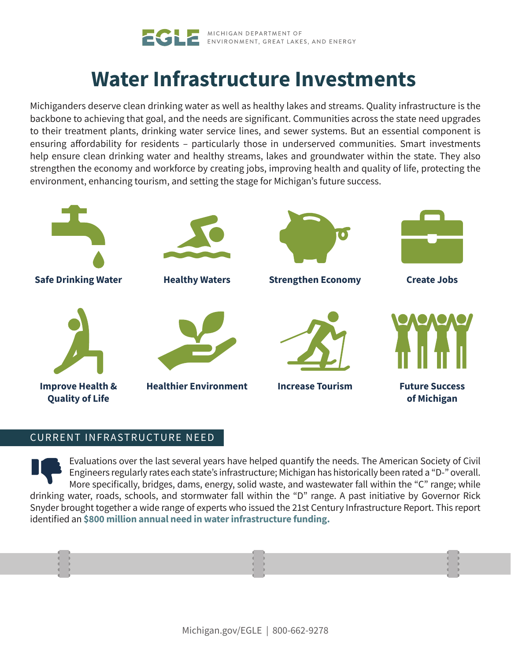

# **Water Infrastructure Investments**

Michiganders deserve clean drinking water as well as healthy lakes and streams. Quality infrastructure is the backbone to achieving that goal, and the needs are significant. Communities across the state need upgrades to their treatment plants, drinking water service lines, and sewer systems. But an essential component is ensuring affordability for residents – particularly those in underserved communities. Smart investments help ensure clean drinking water and healthy streams, lakes and groundwater within the state. They also strengthen the economy and workforce by creating jobs, improving health and quality of life, protecting the environment, enhancing tourism, and setting the stage for Michigan's future success.



# CURRENT INFRASTRUCTURE NEED

Evaluations over the last several years have helped quantify the needs. The American Society of Civil Engineers regularly rates each state's infrastructure; Michigan has historically been rated a "D-" overall. More specifically, bridges, dams, energy, solid waste, and wastewater fall within the "C" range; while drinking water, roads, schools, and stormwater fall within the "D" range. A past initiative by Governor Rick Snyder brought together a wide range of experts who issued the 21st Century Infrastructure Report. This report identified an **\$800 million annual need in water infrastructure funding.**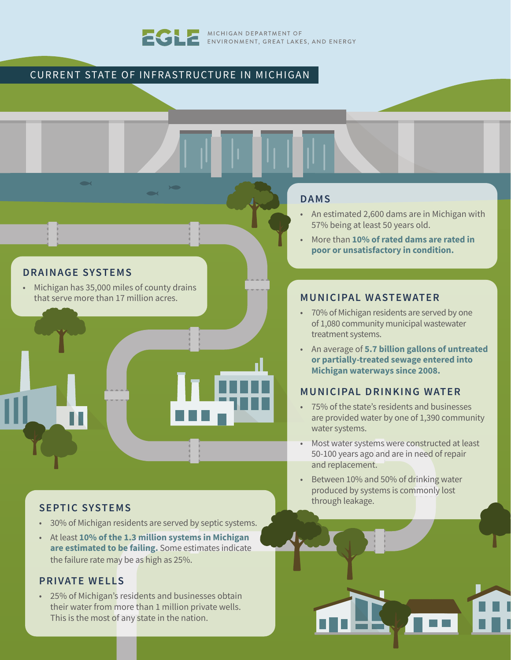

MICHIGAN DEPARTMENT OF ENVIRONMENT, GREAT LAKES, AND ENERGY

# CURRENT STATE OF INFRASTRUCTURE IN MICHIGAN



# **DRAINAGE SYSTEMS**

• Michigan has 35,000 miles of county drains that serve more than 17 million acres.

# **SEPTIC SYSTEMS**

- 30% of Michigan residents are served by septic systems.
- At least **10% of the 1.3 million systems in Michigan are estimated to be failing.** Some estimates indicate the failure rate may be as high as 25%.

# **PRIVATE WELLS**

• 25% of Michigan's residents and businesses obtain their water from more than 1 million private wells. This is the most of any state in the nation.

#### **DAMS**

- An estimated 2,600 dams are in Michigan with 57% being at least 50 years old.
- More than **10% of rated dams are rated in poor or unsatisfactory in condition.**

#### **MUNICIPAL WASTEWATER**

- 70% of Michigan residents are served by one of 1,080 community municipal wastewater treatment systems.
- An average of **5.7 billion gallons of untreated or partially-treated sewage entered into Michigan waterways since 2008.**

#### **MUNICIPAL DRINKING WATER**

- 75% of the state's residents and businesses are provided water by one of 1,390 community water systems.
- Most water systems were constructed at least 50-100 years ago and are in need of repair and replacement.
- Between 10% and 50% of drinking water produced by systems is commonly lost through leakage.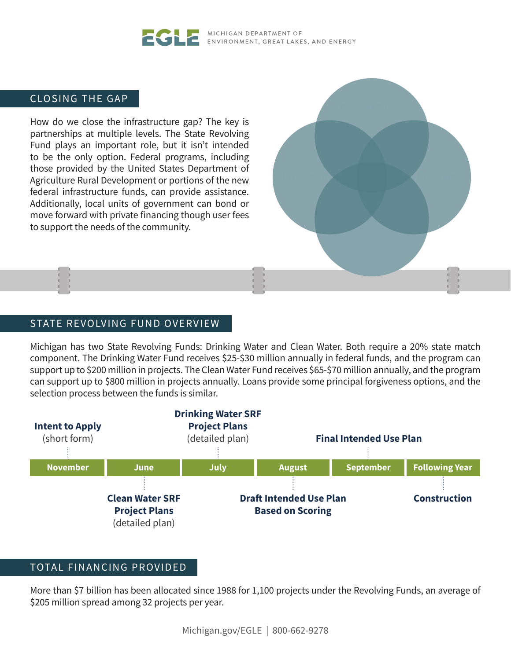#### MICHIGAN DEPARTMENT OF ENVIRONMENT, GREAT LAKES, AND ENERGY

# CLOSING THE GAP

How do we close the infrastructure gap? The key is partnerships at multiple levels. The State Revolving Fund plays an important role, but it isn't intended to be the only option. Federal programs, including those provided by the United States Department of Agriculture Rural Development or portions of the new federal infrastructure funds, can provide assistance. Additionally, local units of government can bond or move forward with private financing though user fees to support the needs of the community.

# STATE REVOLVING FUND OVERVIEW

Michigan has two State Revolving Funds: Drinking Water and Clean Water. Both require a 20% state match component. The Drinking Water Fund receives \$25-\$30 million annually in federal funds, and the program can support up to \$200 million in projects. The Clean Water Fund receives \$65-\$70 million annually, and the program can support up to \$800 million in projects annually. Loans provide some principal forgiveness options, and the selection process between the funds is similar.



#### TOTAL FINANCING PROVIDED

More than \$7 billion has been allocated since 1988 for 1,100 projects under the Revolving Funds, an average of \$205 million spread among 32 projects per year.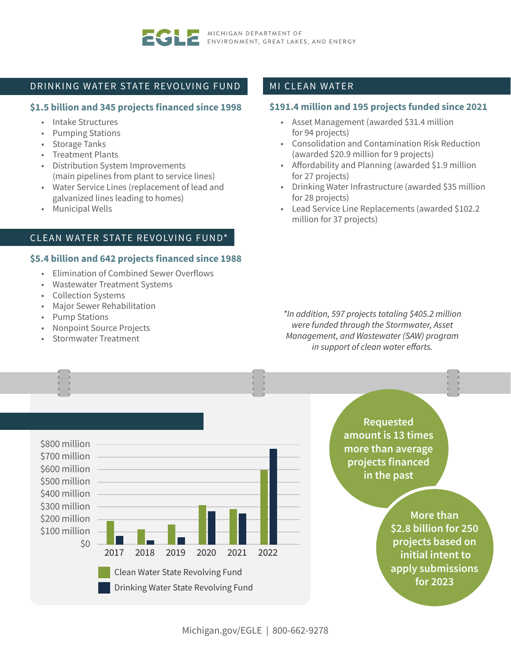

#### DRINKING WATER STATE REVOLVING FUND

#### **\$1.5 billion and 345 projects financed since 1998**

- Intake Structures
- Pumping Stations
- Storage Tanks
- Treatment Plants
- Distribution System Improvements (main pipelines from plant to service lines)
- Water Service Lines (replacement of lead and galvanized lines leading to homes)
- Municipal Wells

# CLEAN WATER STATE REVOLVING FUND\*

#### **\$5.4 billion and 642 projects financed since 1988**

- Elimination of Combined Sewer Overflows
- Wastewater Treatment Systems
- Collection Systems
- Major Sewer Rehabilitation
- Pump Stations
- Nonpoint Source Projects
- Stormwater Treatment

#### MI CLEAN WATER

#### **\$191.4 million and 195 projects funded since 2021**

- Asset Management (awarded \$31.4 million for 94 projects)
- Consolidation and Contamination Risk Reduction (awarded \$20.9 million for 9 projects)
- Affordability and Planning (awarded \$1.9 million for 27 projects)
- Drinking Water Infrastructure (awarded \$35 million for 28 projects)
- Lead Service Line Replacements (awarded \$102.2 million for 37 projects)

*\*In addition, 597 projects totaling \$405.2 million were funded through the Stormwater, Asset Management, and Wastewater (SAW) program in support of clean water efforts.*



**Requested amount is 13 times more than average projects financed in the past**

> **More than \$2.8 billion for 250 projects based on initial intent to apply submissions for 2023**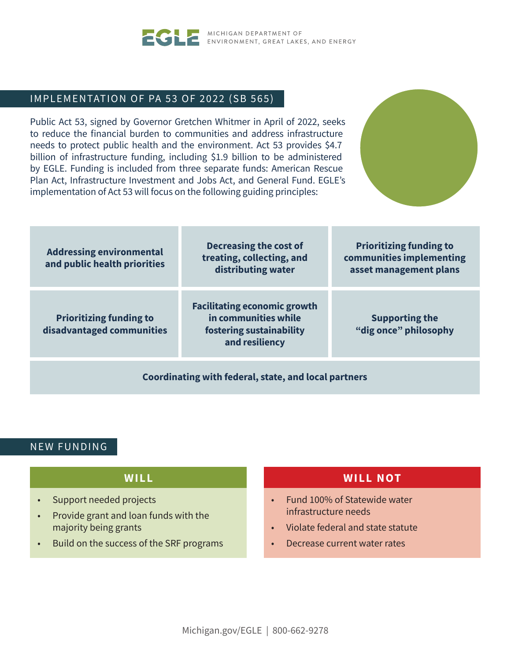

MICHIGAN DEPARTMENT OF ENVIRONMENT, GREAT LAKES, AND ENERGY

# IMPLEMENTATION OF PA 53 OF 2022 (SB 565)

Public Act 53, signed by Governor Gretchen Whitmer in April of 2022, seeks to reduce the financial burden to communities and address infrastructure needs to protect public health and the environment. Act 53 provides \$4.7 billion of infrastructure funding, including \$1.9 billion to be administered by EGLE. Funding is included from three separate funds: American Rescue Plan Act, Infrastructure Investment and Jobs Act, and General Fund. EGLE's implementation of Act 53 will focus on the following guiding principles:



| <b>Addressing environmental</b><br>and public health priorities | <b>Decreasing the cost of</b><br>treating, collecting, and<br>distributing water                          | <b>Prioritizing funding to</b><br>communities implementing<br>asset management plans |  |  |  |  |
|-----------------------------------------------------------------|-----------------------------------------------------------------------------------------------------------|--------------------------------------------------------------------------------------|--|--|--|--|
| <b>Prioritizing funding to</b><br>disadvantaged communities     | <b>Facilitating economic growth</b><br>in communities while<br>fostering sustainability<br>and resiliency | <b>Supporting the</b><br>"dig once" philosophy                                       |  |  |  |  |
| Coordinating with federal, state, and local partners            |                                                                                                           |                                                                                      |  |  |  |  |

# NEW FUNDING

# **W I L L**

- Support needed projects
- Provide grant and loan funds with the majority being grants
- Build on the success of the SRF programs

# **WILL NOT**

- Fund 100% of Statewide water infrastructure needs
- Violate federal and state statute
- Decrease current water rates